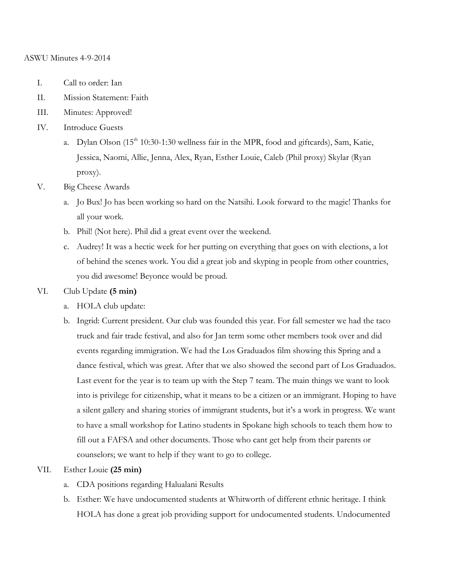#### ASWU Minutes 4-9-2014

- I. Call to order: Ian
- II. Mission Statement: Faith
- III. Minutes: Approved!
- IV. Introduce Guests
	- a. Dylan Olson  $(15<sup>th</sup> 10:30-1:30$  wellness fair in the MPR, food and giftcards), Sam, Katie, Jessica, Naomi, Allie, Jenna, Alex, Ryan, Esther Louie, Caleb (Phil proxy) Skylar (Ryan proxy).
- V. Big Cheese Awards
	- a. Jo Bux! Jo has been working so hard on the Natsihi. Look forward to the magic! Thanks for all your work.
	- b. Phil! (Not here). Phil did a great event over the weekend.
	- c. Audrey! It was a hectic week for her putting on everything that goes on with elections, a lot of behind the scenes work. You did a great job and skyping in people from other countries, you did awesome! Beyonce would be proud.

### VI. Club Update **(5 min)**

- a. HOLA club update:
- b. Ingrid: Current president. Our club was founded this year. For fall semester we had the taco truck and fair trade festival, and also for Jan term some other members took over and did events regarding immigration. We had the Los Graduados film showing this Spring and a dance festival, which was great. After that we also showed the second part of Los Graduados. Last event for the year is to team up with the Step 7 team. The main things we want to look into is privilege for citizenship, what it means to be a citizen or an immigrant. Hoping to have a silent gallery and sharing stories of immigrant students, but it's a work in progress. We want to have a small workshop for Latino students in Spokane high schools to teach them how to fill out a FAFSA and other documents. Those who cant get help from their parents or counselors; we want to help if they want to go to college.

# VII. Esther Louie **(25 min)**

- a. CDA positions regarding Halualani Results
- b. Esther: We have undocumented students at Whitworth of different ethnic heritage. I think HOLA has done a great job providing support for undocumented students. Undocumented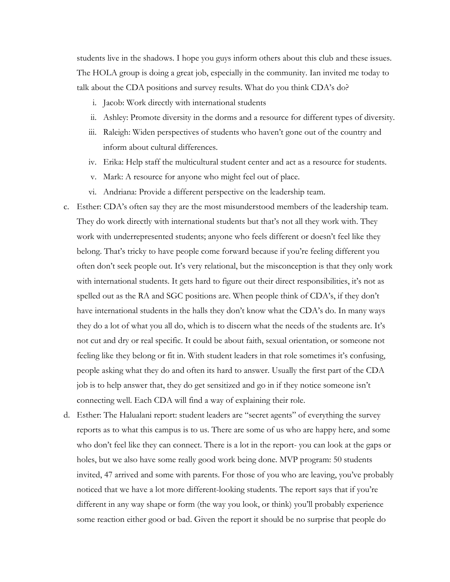students live in the shadows. I hope you guys inform others about this club and these issues. The HOLA group is doing a great job, especially in the community. Ian invited me today to talk about the CDA positions and survey results. What do you think CDA's do?

- i. Jacob: Work directly with international students
- ii. Ashley: Promote diversity in the dorms and a resource for different types of diversity.
- iii. Raleigh: Widen perspectives of students who haven't gone out of the country and inform about cultural differences.
- iv. Erika: Help staff the multicultural student center and act as a resource for students.
- v. Mark: A resource for anyone who might feel out of place.
- vi. Andriana: Provide a different perspective on the leadership team.
- c. Esther: CDA's often say they are the most misunderstood members of the leadership team. They do work directly with international students but that's not all they work with. They work with underrepresented students; anyone who feels different or doesn't feel like they belong. That's tricky to have people come forward because if you're feeling different you often don't seek people out. It's very relational, but the misconception is that they only work with international students. It gets hard to figure out their direct responsibilities, it's not as spelled out as the RA and SGC positions are. When people think of CDA's, if they don't have international students in the halls they don't know what the CDA's do. In many ways they do a lot of what you all do, which is to discern what the needs of the students are. It's not cut and dry or real specific. It could be about faith, sexual orientation, or someone not feeling like they belong or fit in. With student leaders in that role sometimes it's confusing, people asking what they do and often its hard to answer. Usually the first part of the CDA job is to help answer that, they do get sensitized and go in if they notice someone isn't connecting well. Each CDA will find a way of explaining their role.
- d. Esther: The Halualani report: student leaders are "secret agents" of everything the survey reports as to what this campus is to us. There are some of us who are happy here, and some who don't feel like they can connect. There is a lot in the report- you can look at the gaps or holes, but we also have some really good work being done. MVP program: 50 students invited, 47 arrived and some with parents. For those of you who are leaving, you've probably noticed that we have a lot more different-looking students. The report says that if you're different in any way shape or form (the way you look, or think) you'll probably experience some reaction either good or bad. Given the report it should be no surprise that people do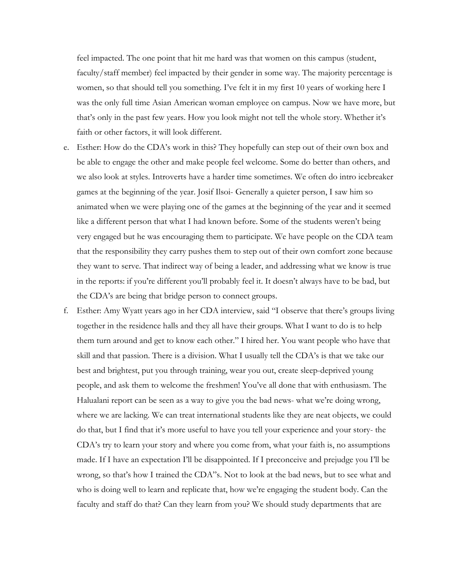feel impacted. The one point that hit me hard was that women on this campus (student, faculty/staff member) feel impacted by their gender in some way. The majority percentage is women, so that should tell you something. I've felt it in my first 10 years of working here I was the only full time Asian American woman employee on campus. Now we have more, but that's only in the past few years. How you look might not tell the whole story. Whether it's faith or other factors, it will look different.

- e. Esther: How do the CDA's work in this? They hopefully can step out of their own box and be able to engage the other and make people feel welcome. Some do better than others, and we also look at styles. Introverts have a harder time sometimes. We often do intro icebreaker games at the beginning of the year. Josif Ilsoi- Generally a quieter person, I saw him so animated when we were playing one of the games at the beginning of the year and it seemed like a different person that what I had known before. Some of the students weren't being very engaged but he was encouraging them to participate. We have people on the CDA team that the responsibility they carry pushes them to step out of their own comfort zone because they want to serve. That indirect way of being a leader, and addressing what we know is true in the reports: if you're different you'll probably feel it. It doesn't always have to be bad, but the CDA's are being that bridge person to connect groups.
- f. Esther: Amy Wyatt years ago in her CDA interview, said "I observe that there's groups living together in the residence halls and they all have their groups. What I want to do is to help them turn around and get to know each other." I hired her. You want people who have that skill and that passion. There is a division. What I usually tell the CDA's is that we take our best and brightest, put you through training, wear you out, create sleep-deprived young people, and ask them to welcome the freshmen! You've all done that with enthusiasm. The Halualani report can be seen as a way to give you the bad news- what we're doing wrong, where we are lacking. We can treat international students like they are neat objects, we could do that, but I find that it's more useful to have you tell your experience and your story- the CDA's try to learn your story and where you come from, what your faith is, no assumptions made. If I have an expectation I'll be disappointed. If I preconceive and prejudge you I'll be wrong, so that's how I trained the CDA"s. Not to look at the bad news, but to see what and who is doing well to learn and replicate that, how we're engaging the student body. Can the faculty and staff do that? Can they learn from you? We should study departments that are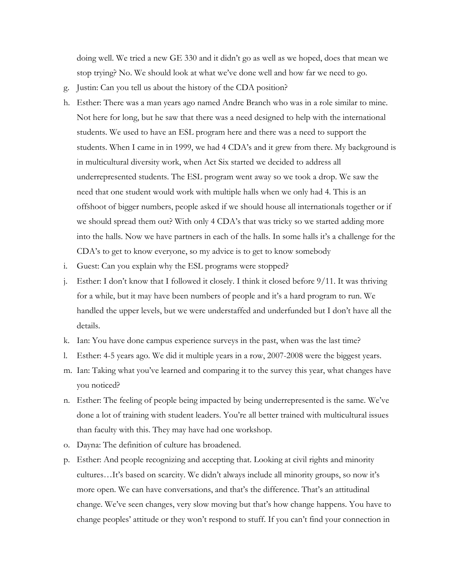doing well. We tried a new GE 330 and it didn't go as well as we hoped, does that mean we stop trying? No. We should look at what we've done well and how far we need to go.

- g. Justin: Can you tell us about the history of the CDA position?
- h. Esther: There was a man years ago named Andre Branch who was in a role similar to mine. Not here for long, but he saw that there was a need designed to help with the international students. We used to have an ESL program here and there was a need to support the students. When I came in in 1999, we had 4 CDA's and it grew from there. My background is in multicultural diversity work, when Act Six started we decided to address all underrepresented students. The ESL program went away so we took a drop. We saw the need that one student would work with multiple halls when we only had 4. This is an offshoot of bigger numbers, people asked if we should house all internationals together or if we should spread them out? With only 4 CDA's that was tricky so we started adding more into the halls. Now we have partners in each of the halls. In some halls it's a challenge for the CDA's to get to know everyone, so my advice is to get to know somebody
- i. Guest: Can you explain why the ESL programs were stopped?
- j. Esther: I don't know that I followed it closely. I think it closed before 9/11. It was thriving for a while, but it may have been numbers of people and it's a hard program to run. We handled the upper levels, but we were understaffed and underfunded but I don't have all the details.
- k. Ian: You have done campus experience surveys in the past, when was the last time?
- l. Esther: 4-5 years ago. We did it multiple years in a row, 2007-2008 were the biggest years.
- m. Ian: Taking what you've learned and comparing it to the survey this year, what changes have you noticed?
- n. Esther: The feeling of people being impacted by being underrepresented is the same. We've done a lot of training with student leaders. You're all better trained with multicultural issues than faculty with this. They may have had one workshop.
- o. Dayna: The definition of culture has broadened.
- p. Esther: And people recognizing and accepting that. Looking at civil rights and minority cultures…It's based on scarcity. We didn't always include all minority groups, so now it's more open. We can have conversations, and that's the difference. That's an attitudinal change. We've seen changes, very slow moving but that's how change happens. You have to change peoples' attitude or they won't respond to stuff. If you can't find your connection in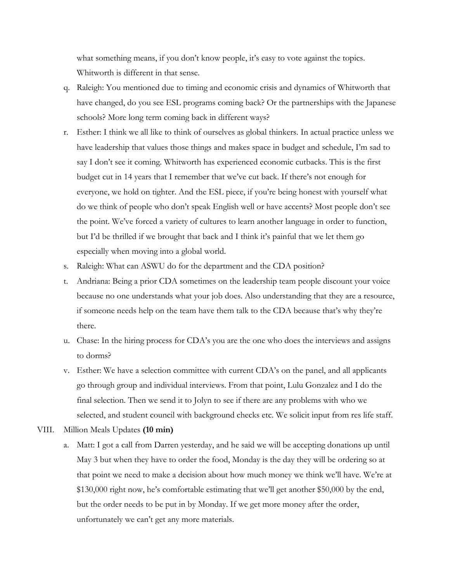what something means, if you don't know people, it's easy to vote against the topics. Whitworth is different in that sense.

- q. Raleigh: You mentioned due to timing and economic crisis and dynamics of Whitworth that have changed, do you see ESL programs coming back? Or the partnerships with the Japanese schools? More long term coming back in different ways?
- r. Esther: I think we all like to think of ourselves as global thinkers. In actual practice unless we have leadership that values those things and makes space in budget and schedule, I'm sad to say I don't see it coming. Whitworth has experienced economic cutbacks. This is the first budget cut in 14 years that I remember that we've cut back. If there's not enough for everyone, we hold on tighter. And the ESL piece, if you're being honest with yourself what do we think of people who don't speak English well or have accents? Most people don't see the point. We've forced a variety of cultures to learn another language in order to function, but I'd be thrilled if we brought that back and I think it's painful that we let them go especially when moving into a global world.
- s. Raleigh: What can ASWU do for the department and the CDA position?
- t. Andriana: Being a prior CDA sometimes on the leadership team people discount your voice because no one understands what your job does. Also understanding that they are a resource, if someone needs help on the team have them talk to the CDA because that's why they're there.
- u. Chase: In the hiring process for CDA's you are the one who does the interviews and assigns to dorms?
- v. Esther: We have a selection committee with current CDA's on the panel, and all applicants go through group and individual interviews. From that point, Lulu Gonzalez and I do the final selection. Then we send it to Jolyn to see if there are any problems with who we selected, and student council with background checks etc. We solicit input from res life staff.
- VIII. Million Meals Updates **(10 min)**
	- a. Matt: I got a call from Darren yesterday, and he said we will be accepting donations up until May 3 but when they have to order the food, Monday is the day they will be ordering so at that point we need to make a decision about how much money we think we'll have. We're at \$130,000 right now, he's comfortable estimating that we'll get another \$50,000 by the end, but the order needs to be put in by Monday. If we get more money after the order, unfortunately we can't get any more materials.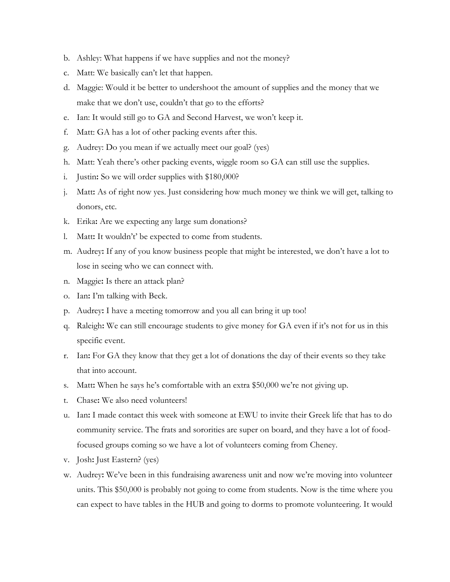- b. Ashley: What happens if we have supplies and not the money?
- c. Matt: We basically can't let that happen.
- d. Maggie: Would it be better to undershoot the amount of supplies and the money that we make that we don't use, couldn't that go to the efforts?
- e. Ian: It would still go to GA and Second Harvest, we won't keep it.
- f. Matt: GA has a lot of other packing events after this.
- g. Audrey: Do you mean if we actually meet our goal? (yes)
- h. Matt: Yeah there's other packing events, wiggle room so GA can still use the supplies.
- i. Justin**:** So we will order supplies with \$180,000?
- j. Matt**:** As of right now yes. Just considering how much money we think we will get, talking to donors, etc.
- k. Erika**:** Are we expecting any large sum donations?
- l. Matt**:** It wouldn't' be expected to come from students.
- m. Audrey**:** If any of you know business people that might be interested, we don't have a lot to lose in seeing who we can connect with.
- n. Maggie**:** Is there an attack plan?
- o. Ian**:** I'm talking with Beck.
- p. Audrey**:** I have a meeting tomorrow and you all can bring it up too!
- q. Raleigh**:** We can still encourage students to give money for GA even if it's not for us in this specific event.
- r. Ian**:** For GA they know that they get a lot of donations the day of their events so they take that into account.
- s. Matt**:** When he says he's comfortable with an extra \$50,000 we're not giving up.
- t. Chase**:** We also need volunteers!
- u. Ian**:** I made contact this week with someone at EWU to invite their Greek life that has to do community service. The frats and sororities are super on board, and they have a lot of foodfocused groups coming so we have a lot of volunteers coming from Cheney.
- v. Josh**:** Just Eastern? (yes)
- w. Audrey**:** We've been in this fundraising awareness unit and now we're moving into volunteer units. This \$50,000 is probably not going to come from students. Now is the time where you can expect to have tables in the HUB and going to dorms to promote volunteering. It would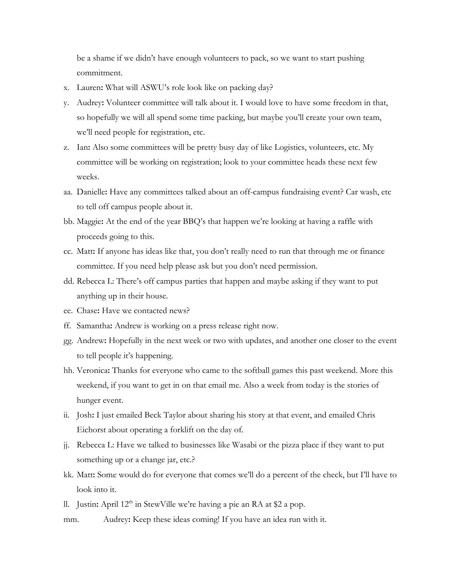be a shame if we didn't have enough volunteers to pack, so we want to start pushing commitment.

- x. Lauren**:** What will ASWU's role look like on packing day?
- y. Audrey**:** Volunteer committee will talk about it. I would love to have some freedom in that, so hopefully we will all spend some time packing, but maybe you'll create your own team, we'll need people for registration, etc.
- z. Ian**:** Also some committees will be pretty busy day of like Logistics, volunteers, etc. My committee will be working on registration; look to your committee heads these next few weeks.
- aa. Danielle**:** Have any committees talked about an off-campus fundraising event? Car wash, etc to tell off campus people about it.
- bb. Maggie**:** At the end of the year BBQ's that happen we're looking at having a raffle with proceeds going to this.
- cc. Matt**:** If anyone has ideas like that, you don't really need to run that through me or finance committee. If you need help please ask but you don't need permission.
- dd. Rebecca L: There's off campus parties that happen and maybe asking if they want to put anything up in their house.
- ee. Chase**:** Have we contacted news?
- ff. Samantha**:** Andrew is working on a press release right now.
- gg. Andrew**:** Hopefully in the next week or two with updates, and another one closer to the event to tell people it's happening.
- hh. Veronica**:** Thanks for everyone who came to the softball games this past weekend. More this weekend, if you want to get in on that email me. Also a week from today is the stories of hunger event.
- ii. Josh**:** I just emailed Beck Taylor about sharing his story at that event, and emailed Chris Eichorst about operating a forklift on the day of.
- jj. Rebecca L: Have we talked to businesses like Wasabi or the pizza place if they want to put something up or a change jar, etc.?
- kk. Matt**:** Some would do for everyone that comes we'll do a percent of the check, but I'll have to look into it.
- ll. Justin: April 12<sup>th</sup> in StewVille we're having a pie an RA at \$2 a pop.
- mm. Audrey**:** Keep these ideas coming! If you have an idea run with it.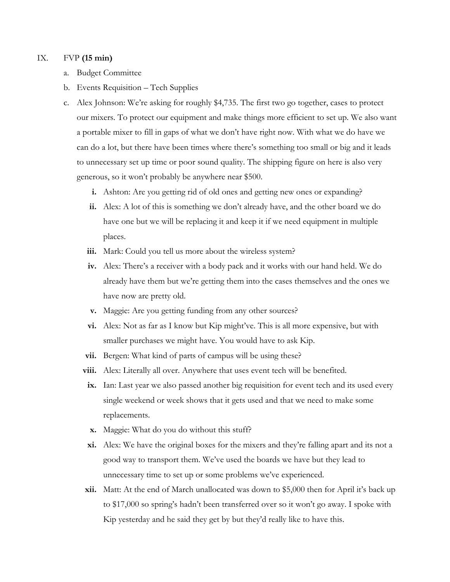#### IX. FVP **(15 min)**

- a. Budget Committee
- b. Events Requisition Tech Supplies
- c. Alex Johnson: We're asking for roughly \$4,735. The first two go together, cases to protect our mixers. To protect our equipment and make things more efficient to set up. We also want a portable mixer to fill in gaps of what we don't have right now. With what we do have we can do a lot, but there have been times where there's something too small or big and it leads to unnecessary set up time or poor sound quality. The shipping figure on here is also very generous, so it won't probably be anywhere near \$500.
	- **i.** Ashton: Are you getting rid of old ones and getting new ones or expanding?
	- **ii.** Alex: A lot of this is something we don't already have, and the other board we do have one but we will be replacing it and keep it if we need equipment in multiple places.
	- iii. Mark: Could you tell us more about the wireless system?
	- **iv.** Alex: There's a receiver with a body pack and it works with our hand held. We do already have them but we're getting them into the cases themselves and the ones we have now are pretty old.
	- **v.** Maggie: Are you getting funding from any other sources?
	- **vi.** Alex: Not as far as I know but Kip might've. This is all more expensive, but with smaller purchases we might have. You would have to ask Kip.
	- **vii.** Bergen: What kind of parts of campus will be using these?
	- **viii.** Alex: Literally all over. Anywhere that uses event tech will be benefited.
	- **ix.** Ian: Last year we also passed another big requisition for event tech and its used every single weekend or week shows that it gets used and that we need to make some replacements.
	- **x.** Maggie: What do you do without this stuff?
	- **xi.** Alex: We have the original boxes for the mixers and they're falling apart and its not a good way to transport them. We've used the boards we have but they lead to unnecessary time to set up or some problems we've experienced.
	- **xii.** Matt: At the end of March unallocated was down to \$5,000 then for April it's back up to \$17,000 so spring's hadn't been transferred over so it won't go away. I spoke with Kip yesterday and he said they get by but they'd really like to have this.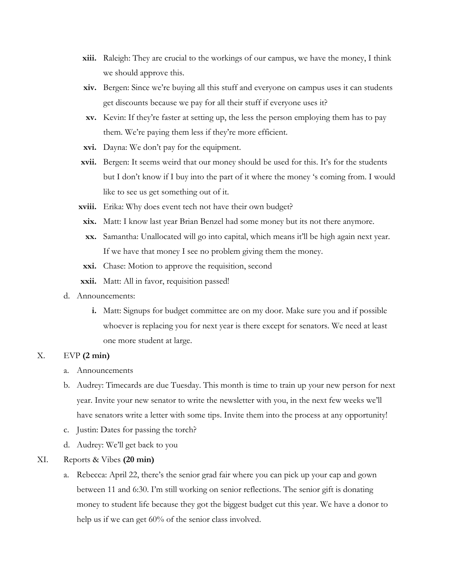- **xiii.** Raleigh: They are crucial to the workings of our campus, we have the money, I think we should approve this.
- **xiv.** Bergen: Since we're buying all this stuff and everyone on campus uses it can students get discounts because we pay for all their stuff if everyone uses it?
- **xv.** Kevin: If they're faster at setting up, the less the person employing them has to pay them. We're paying them less if they're more efficient.
- **xvi.** Dayna: We don't pay for the equipment.
- **xvii.** Bergen: It seems weird that our money should be used for this. It's for the students but I don't know if I buy into the part of it where the money 's coming from. I would like to see us get something out of it.
- **xviii.** Erika: Why does event tech not have their own budget?
- **xix.** Matt: I know last year Brian Benzel had some money but its not there anymore.
- **xx.** Samantha: Unallocated will go into capital, which means it'll be high again next year. If we have that money I see no problem giving them the money.
- **xxi.** Chase: Motion to approve the requisition, second
- **xxii.** Matt: All in favor, requisition passed!
- d. Announcements:
	- **i.** Matt: Signups for budget committee are on my door. Make sure you and if possible whoever is replacing you for next year is there except for senators. We need at least one more student at large.

## X. EVP **(2 min)**

- a. Announcements
- b. Audrey: Timecards are due Tuesday. This month is time to train up your new person for next year. Invite your new senator to write the newsletter with you, in the next few weeks we'll have senators write a letter with some tips. Invite them into the process at any opportunity!
- c. Justin: Dates for passing the torch?
- d. Audrey: We'll get back to you
- XI. Reports & Vibes **(20 min)**
	- a. Rebecca: April 22, there's the senior grad fair where you can pick up your cap and gown between 11 and 6:30. I'm still working on senior reflections. The senior gift is donating money to student life because they got the biggest budget cut this year. We have a donor to help us if we can get 60% of the senior class involved.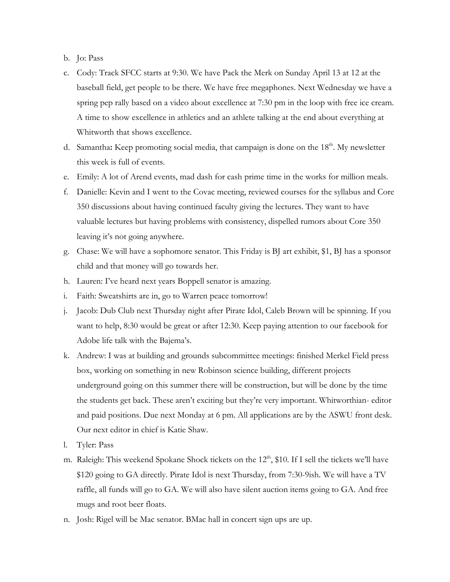- b. Jo: Pass
- c. Cody: Track SFCC starts at 9:30. We have Pack the Merk on Sunday April 13 at 12 at the baseball field, get people to be there. We have free megaphones. Next Wednesday we have a spring pep rally based on a video about excellence at 7:30 pm in the loop with free ice cream. A time to show excellence in athletics and an athlete talking at the end about everything at Whitworth that shows excellence.
- d. Samantha: Keep promoting social media, that campaign is done on the 18<sup>th</sup>. My newsletter this week is full of events.
- e. Emily: A lot of Arend events, mad dash for cash prime time in the works for million meals.
- f. Danielle: Kevin and I went to the Covac meeting, reviewed courses for the syllabus and Core 350 discussions about having continued faculty giving the lectures. They want to have valuable lectures but having problems with consistency, dispelled rumors about Core 350 leaving it's not going anywhere.
- g. Chase: We will have a sophomore senator. This Friday is BJ art exhibit, \$1, BJ has a sponsor child and that money will go towards her.
- h. Lauren: I've heard next years Boppell senator is amazing.
- i. Faith: Sweatshirts are in, go to Warren peace tomorrow!
- j. Jacob: Dub Club next Thursday night after Pirate Idol, Caleb Brown will be spinning. If you want to help, 8:30 would be great or after 12:30. Keep paying attention to our facebook for Adobe life talk with the Bajema's.
- k. Andrew: I was at building and grounds subcommittee meetings: finished Merkel Field press box, working on something in new Robinson science building, different projects underground going on this summer there will be construction, but will be done by the time the students get back. These aren't exciting but they're very important. Whitworthian- editor and paid positions. Due next Monday at 6 pm. All applications are by the ASWU front desk. Our next editor in chief is Katie Shaw.
- l. Tyler: Pass
- m. Raleigh: This weekend Spokane Shock tickets on the  $12<sup>th</sup>$ , \$10. If I sell the tickets we'll have \$120 going to GA directly. Pirate Idol is next Thursday, from 7:30-9ish. We will have a TV raffle, all funds will go to GA. We will also have silent auction items going to GA. And free mugs and root beer floats.
- n. Josh: Rigel will be Mac senator. BMac hall in concert sign ups are up.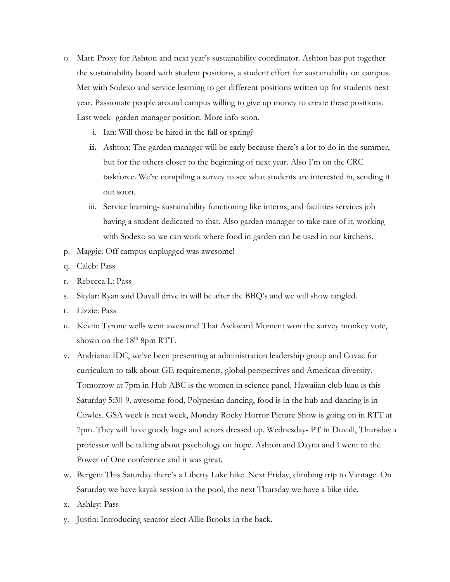- o. Matt: Proxy for Ashton and next year's sustainability coordinator. Ashton has put together the sustainability board with student positions, a student effort for sustainability on campus. Met with Sodexo and service learning to get different positions written up for students next year. Passionate people around campus willing to give up money to create these positions. Last week- garden manager position. More info soon.
	- i. Ian: Will those be hired in the fall or spring?
	- **ii.** Ashton: The garden manager will be early because there's a lot to do in the summer, but for the others closer to the beginning of next year. Also I'm on the CRC taskforce. We're compiling a survey to see what students are interested in, sending it out soon.
	- iii. Service learning- sustainability functioning like interns, and facilities services job having a student dedicated to that. Also garden manager to take care of it, working with Sodexo so we can work where food in garden can be used in our kitchens.
- p. Maggie: Off campus unplugged was awesome!
- q. Caleb: Pass
- r. Rebecca L: Pass
- s. Skylar: Ryan said Duvall drive in will be after the BBQ's and we will show tangled.
- t. Lizzie: Pass
- u. Kevin: Tyrone wells went awesome! That Awkward Moment won the survey monkey vote, shown on the  $18<sup>th</sup>$  8pm RTT.
- v. Andriana: IDC, we've been presenting at administration leadership group and Covac for curriculum to talk about GE requirements, global perspectives and American diversity. Tomorrow at 7pm in Hub ABC is the women in science panel. Hawaiian club luau is this Saturday 5:30-9, awesome food, Polynesian dancing, food is in the hub and dancing is in Cowles. GSA week is next week, Monday Rocky Horror Picture Show is going on in RTT at 7pm. They will have goody bags and actors dressed up. Wednesday- PT in Duvall, Thursday a professor will be talking about psychology on hope. Ashton and Dayna and I went to the Power of One conference and it was great.
- w. Bergen: This Saturday there's a Liberty Lake hike. Next Friday, climbing trip to Vantage. On Saturday we have kayak session in the pool, the next Thursday we have a bike ride.
- x. Ashley: Pass
- y. Justin: Introducing senator elect Allie Brooks in the back.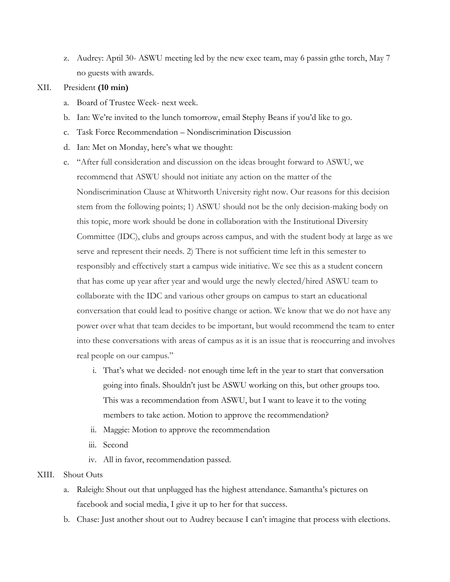z. Audrey: Aptil 30- ASWU meeting led by the new exec team, may 6 passin gthe torch, May 7 no guests with awards.

#### XII. President **(10 min)**

- a. Board of Trustee Week- next week.
- b. Ian: We're invited to the lunch tomorrow, email Stephy Beans if you'd like to go.
- c. Task Force Recommendation Nondiscrimination Discussion
- d. Ian: Met on Monday, here's what we thought:
- e. "After full consideration and discussion on the ideas brought forward to ASWU, we recommend that ASWU should not initiate any action on the matter of the Nondiscrimination Clause at Whitworth University right now. Our reasons for this decision stem from the following points; 1) ASWU should not be the only decision-making body on this topic, more work should be done in collaboration with the Institutional Diversity Committee (IDC), clubs and groups across campus, and with the student body at large as we serve and represent their needs. 2) There is not sufficient time left in this semester to responsibly and effectively start a campus wide initiative. We see this as a student concern that has come up year after year and would urge the newly elected/hired ASWU team to collaborate with the IDC and various other groups on campus to start an educational conversation that could lead to positive change or action. We know that we do not have any power over what that team decides to be important, but would recommend the team to enter into these conversations with areas of campus as it is an issue that is reoccurring and involves real people on our campus."
	- i. That's what we decided- not enough time left in the year to start that conversation going into finals. Shouldn't just be ASWU working on this, but other groups too. This was a recommendation from ASWU, but I want to leave it to the voting members to take action. Motion to approve the recommendation?
	- ii. Maggie: Motion to approve the recommendation
	- iii. Second
	- iv. All in favor, recommendation passed.

#### XIII. Shout Outs

- a. Raleigh: Shout out that unplugged has the highest attendance. Samantha's pictures on facebook and social media, I give it up to her for that success.
- b. Chase: Just another shout out to Audrey because I can't imagine that process with elections.